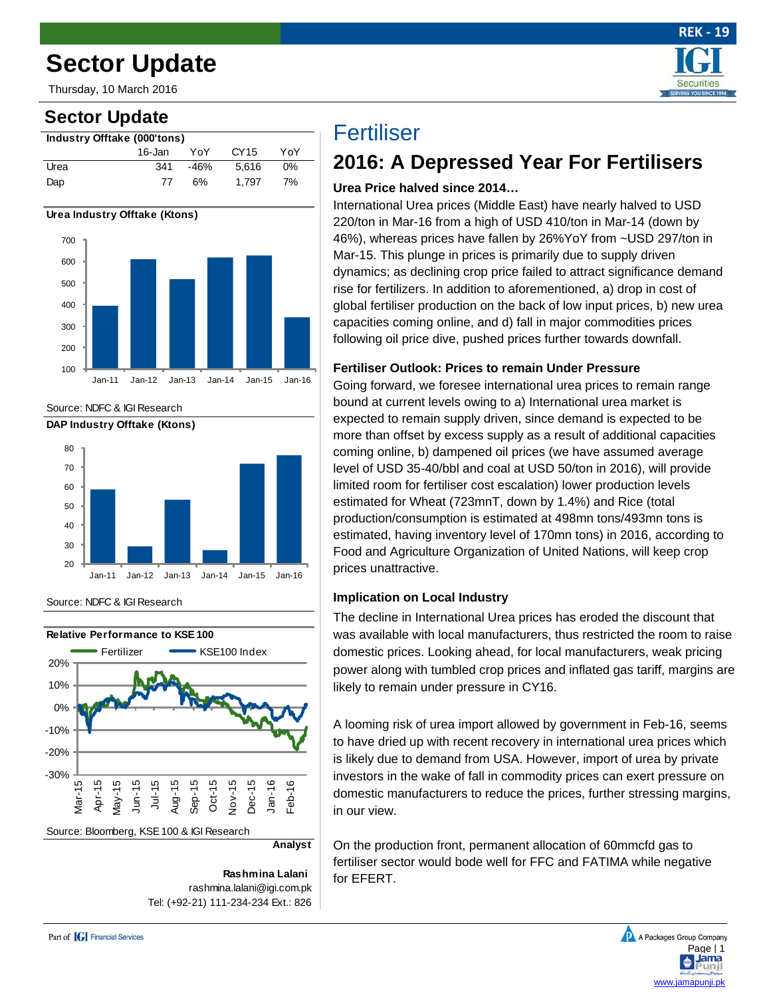# **Sector Update**

Thursday, 10 March 2016

## **Sector Update**





Source: NDFC & IGI Research



Source: NDFC & IGI Research



**Rashmina Lalani** rashmina.lalani@igi.com.pk Tel: (+92-21) 111-234-234 Ext.: 826

# **Fertiliser**

## **2016: A Depressed Year For Fertilisers**

 **REK - 19**

**Securities VG YOU SINCE IS** 

### **Urea Price halved since 2014…**

International Urea prices (Middle East) have nearly halved to USD 220/ton in Mar-16 from a high of USD 410/ton in Mar-14 (down by 46%), whereas prices have fallen by 26%YoY from ~USD 297/ton in Mar-15. This plunge in prices is primarily due to supply driven dynamics; as declining crop price failed to attract significance demand rise for fertilizers. In addition to aforementioned, a) drop in cost of global fertiliser production on the back of low input prices, b) new urea capacities coming online, and d) fall in major commodities prices following oil price dive, pushed prices further towards downfall.

### **Fertiliser Outlook: Prices to remain Under Pressure**

Going forward, we foresee international urea prices to remain range bound at current levels owing to a) International urea market is expected to remain supply driven, since demand is expected to be more than offset by excess supply as a result of additional capacities coming online, b) dampened oil prices (we have assumed average level of USD 35-40/bbl and coal at USD 50/ton in 2016), will provide limited room for fertiliser cost escalation) lower production levels estimated for Wheat (723mnT, down by 1.4%) and Rice (total production/consumption is estimated at 498mn tons/493mn tons is estimated, having inventory level of 170mn tons) in 2016, according to Food and Agriculture Organization of United Nations, will keep crop prices unattractive.

### **Implication on Local Industry**

The decline in International Urea prices has eroded the discount that was available with local manufacturers, thus restricted the room to raise domestic prices. Looking ahead, for local manufacturers, weak pricing power along with tumbled crop prices and inflated gas tariff, margins are likely to remain under pressure in CY16.

A looming risk of urea import allowed by government in Feb-16, seems to have dried up with recent recovery in international urea prices which is likely due to demand from USA. However, import of urea by private investors in the wake of fall in commodity prices can exert pressure on domestic manufacturers to reduce the prices, further stressing margins, in our view.

On the production front, permanent allocation of 60mmcfd gas to fertiliser sector would bode well for FFC and FATIMA while negative for EFERT.

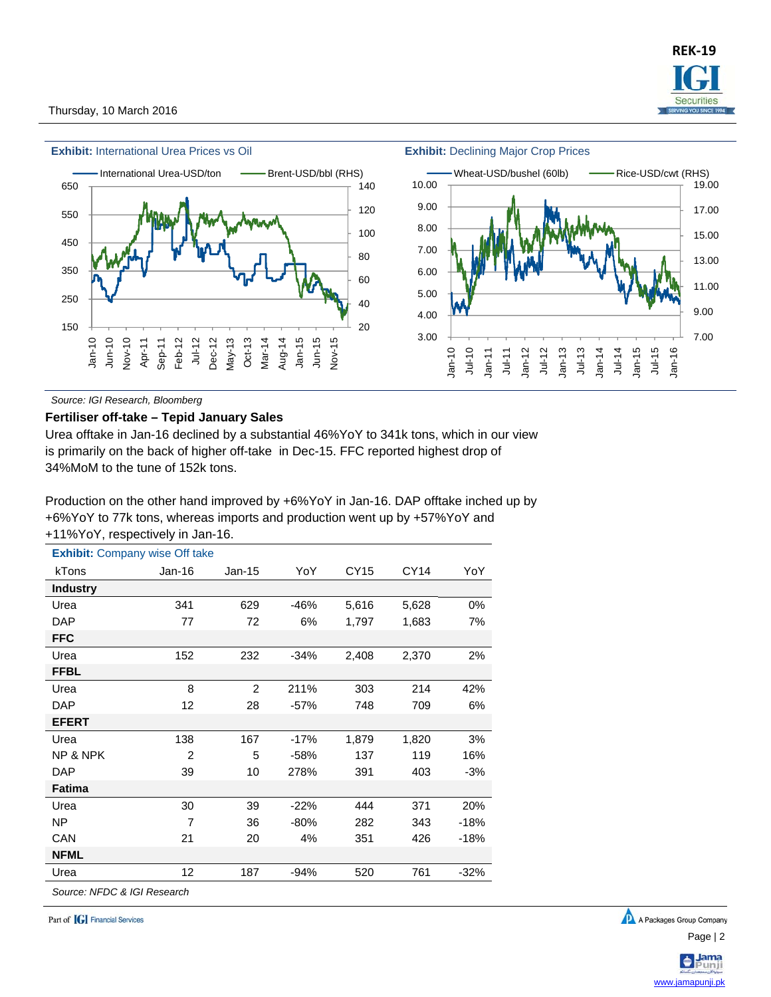

*Source: IGI Research, Bloomberg* 

#### **Fertiliser off-take – Tepid January Sales**

Urea offtake in Jan-16 declined by a substantial 46%YoY to 341k tons, which in our view is primarily on the back of higher off-take in Dec-15. FFC reported highest drop of 34%MoM to the tune of 152k tons.

Production on the other hand improved by +6%YoY in Jan-16. DAP offtake inched up by +6%YoY to 77k tons, whereas imports and production went up by +57%YoY and +11%YoY, respectively in Jan-16.

| <b>Exhibit:</b> Company wise Off take |                |          |        |       |       |        |
|---------------------------------------|----------------|----------|--------|-------|-------|--------|
| kTons                                 | $Jan-16$       | $Jan-15$ | YoY    | CY15  | CY14  | YoY    |
| <b>Industry</b>                       |                |          |        |       |       |        |
| Urea                                  | 341            | 629      | $-46%$ | 5,616 | 5,628 | 0%     |
| <b>DAP</b>                            | 77             | 72       | 6%     | 1,797 | 1,683 | 7%     |
| <b>FFC</b>                            |                |          |        |       |       |        |
| Urea                                  | 152            | 232      | $-34%$ | 2,408 | 2,370 | 2%     |
| <b>FFBL</b>                           |                |          |        |       |       |        |
| Urea                                  | 8              | 2        | 211%   | 303   | 214   | 42%    |
| <b>DAP</b>                            | 12             | 28       | $-57%$ | 748   | 709   | 6%     |
| <b>EFERT</b>                          |                |          |        |       |       |        |
| Urea                                  | 138            | 167      | $-17%$ | 1,879 | 1,820 | 3%     |
| NP & NPK                              | 2              | 5        | $-58%$ | 137   | 119   | 16%    |
| <b>DAP</b>                            | 39             | 10       | 278%   | 391   | 403   | $-3%$  |
| <b>Fatima</b>                         |                |          |        |       |       |        |
| Urea                                  | 30             | 39       | $-22%$ | 444   | 371   | 20%    |
| NP                                    | $\overline{7}$ | 36       | $-80%$ | 282   | 343   | $-18%$ |
| CAN                                   | 21             | 20       | 4%     | 351   | 426   | -18%   |
| <b>NFML</b>                           |                |          |        |       |       |        |
| Urea                                  | 12             | 187      | $-94%$ | 520   | 761   | $-32%$ |
| Source: NFDC & IGI Research           |                |          |        |       |       |        |

Part of **[G]** Financial Services



www.jamapunji.pk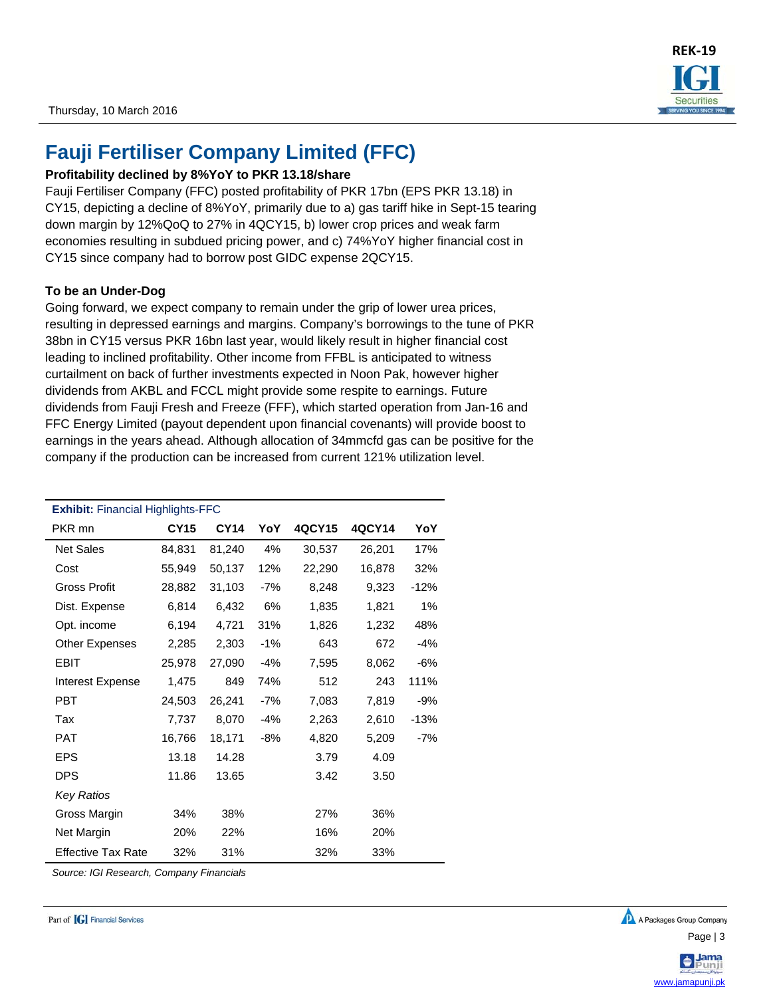## **Fauji Fertiliser Company Limited (FFC)**

#### **Profitability declined by 8%YoY to PKR 13.18/share**

Fauji Fertiliser Company (FFC) posted profitability of PKR 17bn (EPS PKR 13.18) in CY15, depicting a decline of 8%YoY, primarily due to a) gas tariff hike in Sept-15 tearing down margin by 12%QoQ to 27% in 4QCY15, b) lower crop prices and weak farm economies resulting in subdued pricing power, and c) 74%YoY higher financial cost in CY15 since company had to borrow post GIDC expense 2QCY15.

#### **To be an Under-Dog**

Going forward, we expect company to remain under the grip of lower urea prices, resulting in depressed earnings and margins. Company's borrowings to the tune of PKR 38bn in CY15 versus PKR 16bn last year, would likely result in higher financial cost leading to inclined profitability. Other income from FFBL is anticipated to witness curtailment on back of further investments expected in Noon Pak, however higher dividends from AKBL and FCCL might provide some respite to earnings. Future dividends from Fauji Fresh and Freeze (FFF), which started operation from Jan-16 and FFC Energy Limited (payout dependent upon financial covenants) will provide boost to earnings in the years ahead. Although allocation of 34mmcfd gas can be positive for the company if the production can be increased from current 121% utilization level.

| <b>Exhibit: Financial Highlights-FFC</b> |             |             |       |        |        |        |
|------------------------------------------|-------------|-------------|-------|--------|--------|--------|
| PKR mn                                   | <b>CY15</b> | <b>CY14</b> | YoY   | 4QCY15 | 4QCY14 | YoY    |
| <b>Net Sales</b>                         | 84,831      | 81,240      | 4%    | 30,537 | 26,201 | 17%    |
| Cost                                     | 55,949      | 50,137      | 12%   | 22,290 | 16,878 | 32%    |
| Gross Profit                             | 28,882      | 31,103      | -7%   | 8,248  | 9,323  | $-12%$ |
| Dist. Expense                            | 6,814       | 6,432       | 6%    | 1,835  | 1,821  | 1%     |
| Opt. income                              | 6,194       | 4,721       | 31%   | 1,826  | 1,232  | 48%    |
| Other Expenses                           | 2,285       | 2,303       | $-1%$ | 643    | 672    | $-4%$  |
| EBIT                                     | 25,978      | 27,090      | $-4%$ | 7,595  | 8,062  | $-6%$  |
| Interest Expense                         | 1,475       | 849         | 74%   | 512    | 243    | 111%   |
| PBT                                      | 24,503      | 26,241      | $-7%$ | 7,083  | 7,819  | $-9%$  |
| Tax                                      | 7,737       | 8,070       | $-4%$ | 2,263  | 2,610  | $-13%$ |
| PAT                                      | 16,766      | 18,171      | -8%   | 4,820  | 5,209  | $-7%$  |
| <b>EPS</b>                               | 13.18       | 14.28       |       | 3.79   | 4.09   |        |
| <b>DPS</b>                               | 11.86       | 13.65       |       | 3.42   | 3.50   |        |
| <b>Key Ratios</b>                        |             |             |       |        |        |        |
| Gross Margin                             | 34%         | 38%         |       | 27%    | 36%    |        |
| Net Margin                               | 20%         | 22%         |       | 16%    | 20%    |        |
| <b>Effective Tax Rate</b>                | 32%         | 31%         |       | 32%    | 33%    |        |

*Source: IGI Research, Company Financials*



www.jamapunji.pk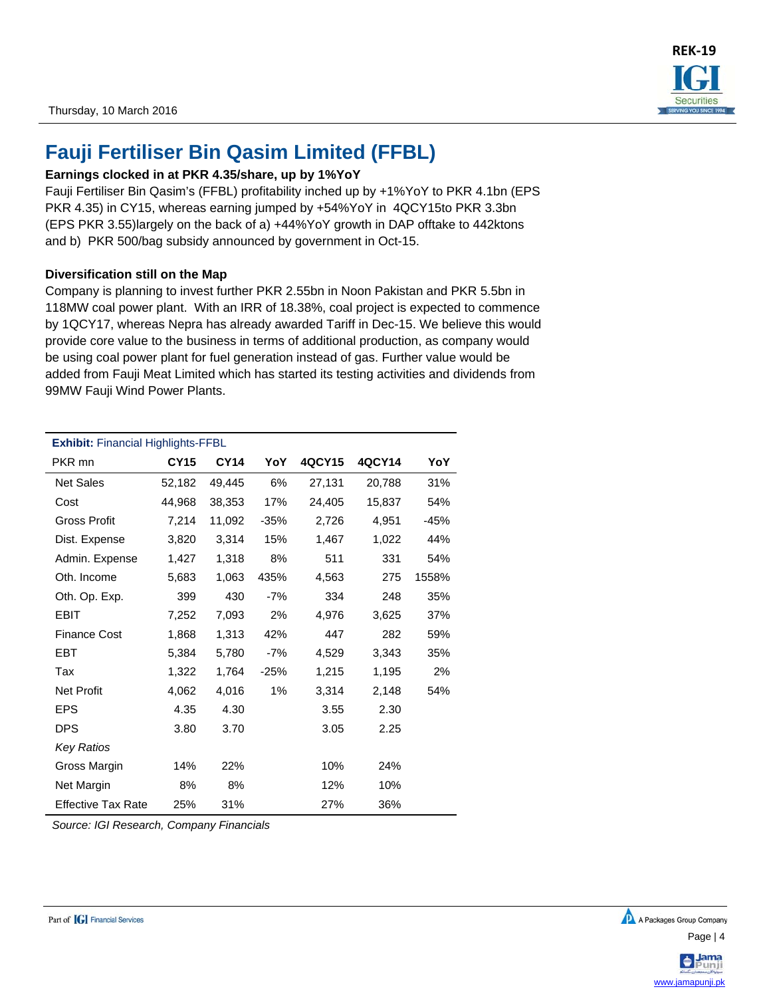

## **Fauji Fertiliser Bin Qasim Limited (FFBL)**

#### **Earnings clocked in at PKR 4.35/share, up by 1%YoY**

Fauji Fertiliser Bin Qasim's (FFBL) profitability inched up by +1%YoY to PKR 4.1bn (EPS PKR 4.35) in CY15, whereas earning jumped by +54%YoY in 4QCY15to PKR 3.3bn (EPS PKR 3.55)largely on the back of a) +44%YoY growth in DAP offtake to 442ktons and b) PKR 500/bag subsidy announced by government in Oct-15.

#### **Diversification still on the Map**

Company is planning to invest further PKR 2.55bn in Noon Pakistan and PKR 5.5bn in 118MW coal power plant. With an IRR of 18.38%, coal project is expected to commence by 1QCY17, whereas Nepra has already awarded Tariff in Dec-15. We believe this would provide core value to the business in terms of additional production, as company would be using coal power plant for fuel generation instead of gas. Further value would be added from Fauji Meat Limited which has started its testing activities and dividends from 99MW Fauji Wind Power Plants.

| <b>Exhibit: Financial Highlights-FFBL</b> |             |             |        |        |        |        |
|-------------------------------------------|-------------|-------------|--------|--------|--------|--------|
| PKR mn                                    | <b>CY15</b> | <b>CY14</b> | YoY    | 4QCY15 | 4QCY14 | YoY    |
| <b>Net Sales</b>                          | 52,182      | 49,445      | 6%     | 27,131 | 20,788 | 31%    |
| Cost                                      | 44,968      | 38,353      | 17%    | 24,405 | 15,837 | 54%    |
| <b>Gross Profit</b>                       | 7,214       | 11,092      | $-35%$ | 2,726  | 4,951  | $-45%$ |
| Dist. Expense                             | 3,820       | 3,314       | 15%    | 1,467  | 1,022  | 44%    |
| Admin. Expense                            | 1,427       | 1,318       | 8%     | 511    | 331    | 54%    |
| Oth. Income                               | 5,683       | 1,063       | 435%   | 4,563  | 275    | 1558%  |
| Oth. Op. Exp.                             | 399         | 430         | $-7%$  | 334    | 248    | 35%    |
| <b>EBIT</b>                               | 7,252       | 7,093       | 2%     | 4,976  | 3,625  | 37%    |
| <b>Finance Cost</b>                       | 1,868       | 1,313       | 42%    | 447    | 282    | 59%    |
| EBT                                       | 5,384       | 5,780       | $-7%$  | 4,529  | 3,343  | 35%    |
| Tax                                       | 1,322       | 1,764       | $-25%$ | 1,215  | 1,195  | 2%     |
| <b>Net Profit</b>                         | 4,062       | 4,016       | $1\%$  | 3,314  | 2,148  | 54%    |
| <b>EPS</b>                                | 4.35        | 4.30        |        | 3.55   | 2.30   |        |
| <b>DPS</b>                                | 3.80        | 3.70        |        | 3.05   | 2.25   |        |
| <b>Key Ratios</b>                         |             |             |        |        |        |        |
| Gross Margin                              | 14%         | 22%         |        | 10%    | 24%    |        |
| Net Margin                                | 8%          | 8%          |        | 12%    | 10%    |        |
| <b>Effective Tax Rate</b>                 | 25%         | 31%         |        | 27%    | 36%    |        |

*Source: IGI Research, Company Financials* 

www.jamapunji.pk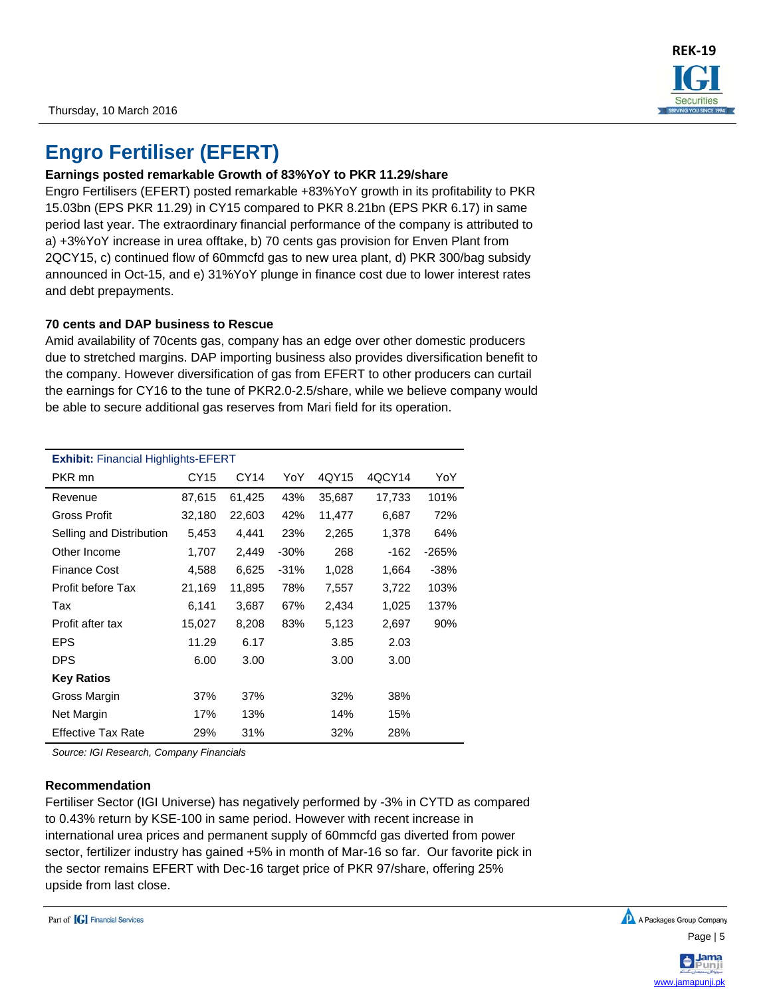

## **Engro Fertiliser (EFERT)**

### **Earnings posted remarkable Growth of 83%YoY to PKR 11.29/share**

Engro Fertilisers (EFERT) posted remarkable +83%YoY growth in its profitability to PKR 15.03bn (EPS PKR 11.29) in CY15 compared to PKR 8.21bn (EPS PKR 6.17) in same period last year. The extraordinary financial performance of the company is attributed to a) +3%YoY increase in urea offtake, b) 70 cents gas provision for Enven Plant from 2QCY15, c) continued flow of 60mmcfd gas to new urea plant, d) PKR 300/bag subsidy announced in Oct-15, and e) 31%YoY plunge in finance cost due to lower interest rates and debt prepayments.

### **70 cents and DAP business to Rescue**

Amid availability of 70cents gas, company has an edge over other domestic producers due to stretched margins. DAP importing business also provides diversification benefit to the company. However diversification of gas from EFERT to other producers can curtail the earnings for CY16 to the tune of PKR2.0-2.5/share, while we believe company would be able to secure additional gas reserves from Mari field for its operation.

| <b>Exhibit:</b> Financial Highlights-EFERT |             |        |         |        |        |         |
|--------------------------------------------|-------------|--------|---------|--------|--------|---------|
| PKR mn                                     | <b>CY15</b> | CY14   | YoY     | 4QY15  | 4QCY14 | YoY     |
| Revenue                                    | 87,615      | 61,425 | 43%     | 35,687 | 17,733 | 101%    |
| Gross Profit                               | 32,180      | 22,603 | 42%     | 11,477 | 6,687  | 72%     |
| Selling and Distribution                   | 5,453       | 4,441  | 23%     | 2,265  | 1,378  | 64%     |
| Other Income                               | 1,707       | 2,449  | $-30\%$ | 268    | $-162$ | $-265%$ |
| <b>Finance Cost</b>                        | 4,588       | 6,625  | $-31%$  | 1,028  | 1,664  | $-38%$  |
| Profit before Tax                          | 21,169      | 11,895 | 78%     | 7,557  | 3,722  | 103%    |
| Tax                                        | 6,141       | 3,687  | 67%     | 2,434  | 1,025  | 137%    |
| Profit after tax                           | 15,027      | 8,208  | 83%     | 5,123  | 2,697  | 90%     |
| <b>EPS</b>                                 | 11.29       | 6.17   |         | 3.85   | 2.03   |         |
| <b>DPS</b>                                 | 6.00        | 3.00   |         | 3.00   | 3.00   |         |
| <b>Key Ratios</b>                          |             |        |         |        |        |         |
| Gross Margin                               | 37%         | 37%    |         | 32%    | 38%    |         |
| <b>Net Margin</b>                          | 17%         | 13%    |         | 14%    | 15%    |         |
| <b>Effective Tax Rate</b>                  | 29%         | 31%    |         | 32%    | 28%    |         |

*Source: IGI Research, Company Financials* 

#### **Recommendation**

Fertiliser Sector (IGI Universe) has negatively performed by -3% in CYTD as compared to 0.43% return by KSE-100 in same period. However with recent increase in international urea prices and permanent supply of 60mmcfd gas diverted from power sector, fertilizer industry has gained +5% in month of Mar-16 so far. Our favorite pick in the sector remains EFERT with Dec-16 target price of PKR 97/share, offering 25% upside from last close.

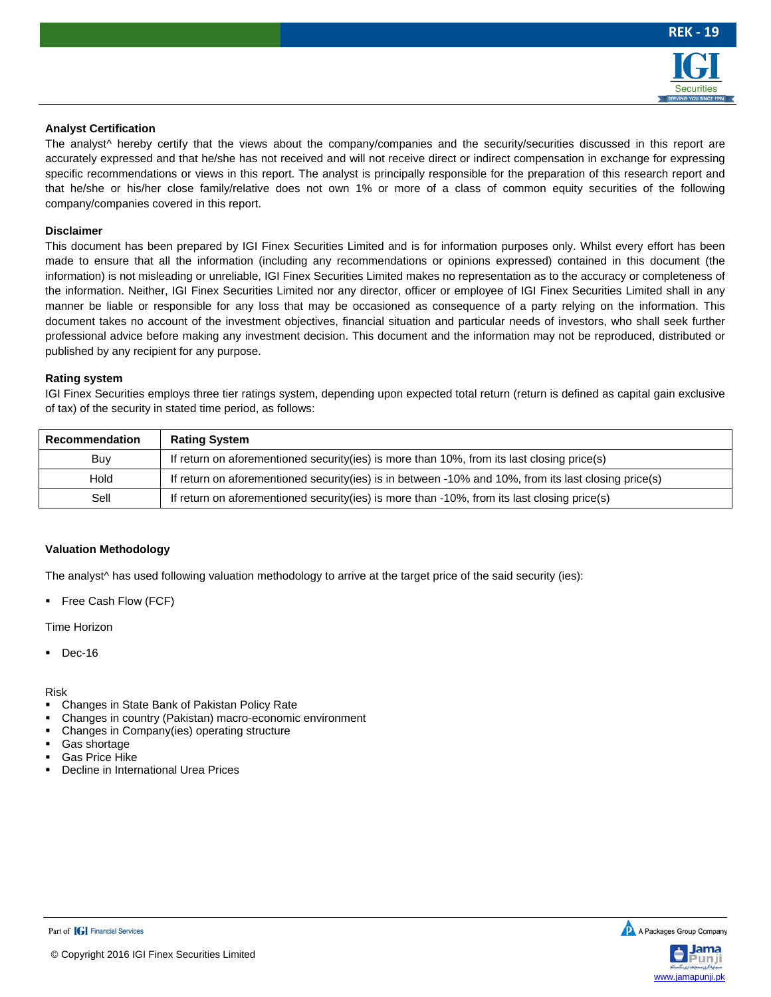

#### **Analyst Certification**

The analyst<sup>^</sup> hereby certify that the views about the company/companies and the security/securities discussed in this report are accurately expressed and that he/she has not received and will not receive direct or indirect compensation in exchange for expressing specific recommendations or views in this report. The analyst is principally responsible for the preparation of this research report and that he/she or his/her close family/relative does not own 1% or more of a class of common equity securities of the following company/companies covered in this report.

#### **Disclaimer**

This document has been prepared by IGI Finex Securities Limited and is for information purposes only. Whilst every effort has been made to ensure that all the information (including any recommendations or opinions expressed) contained in this document (the information) is not misleading or unreliable, IGI Finex Securities Limited makes no representation as to the accuracy or completeness of the information. Neither, IGI Finex Securities Limited nor any director, officer or employee of IGI Finex Securities Limited shall in any manner be liable or responsible for any loss that may be occasioned as consequence of a party relying on the information. This document takes no account of the investment objectives, financial situation and particular needs of investors, who shall seek further professional advice before making any investment decision. This document and the information may not be reproduced, distributed or published by any recipient for any purpose.

#### **Rating system**

IGI Finex Securities employs three tier ratings system, depending upon expected total return (return is defined as capital gain exclusive of tax) of the security in stated time period, as follows:

| <b>Recommendation</b> | <b>Rating System</b>                                                                                 |
|-----------------------|------------------------------------------------------------------------------------------------------|
| Buy                   | If return on aforementioned security(ies) is more than 10%, from its last closing price(s)           |
| Hold                  | If return on aforementioned security(ies) is in between -10% and 10%, from its last closing price(s) |
| Sell                  | If return on aforementioned security(ies) is more than -10%, from its last closing price(s)          |

#### **Valuation Methodology**

The analyst<sup>^</sup> has used following valuation methodology to arrive at the target price of the said security (ies):

**Free Cash Flow (FCF)** 

Time Horizon

Dec-16

#### Risk

- Changes in State Bank of Pakistan Policy Rate
- Changes in country (Pakistan) macro-economic environment
- Changes in Company(ies) operating structure
- Gas shortage
- Gas Price Hike
- Decline in International Urea Prices